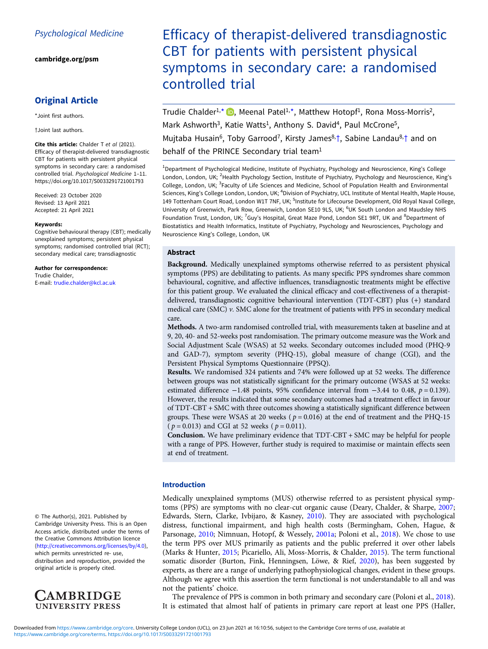[cambridge.org/psm](https://www.cambridge.org/psm)

# Original Article

\*Joint first authors.

†Joint last authors.

Cite this article: Chalder T et al (2021). Efficacy of therapist-delivered transdiagnostic CBT for patients with persistent physical symptoms in secondary care: a randomised controlled trial. Psychological Medicine 1–11. <https://doi.org/10.1017/S0033291721001793>

Received: 23 October 2020 Revised: 13 April 2021 Accepted: 21 April 2021

#### Keywords:

Cognitive behavioural therapy (CBT); medically unexplained symptoms; persistent physical symptoms; randomised controlled trial (RCT); secondary medical care; transdiagnostic

Author for correspondence:

Trudie Chalder, E-mail: [trudie.chalder@kcl.ac.uk](mailto:trudie.chalder@kcl.ac.uk)

© The Author(s), 2021. Published by Cambridge University Press. This is an Open Access article, distributed under the terms of the Creative Commons Attribution licence (<http://creativecommons.org/licenses/by/4.0>), which permits unrestricted re- use, distribution and reproduction, provided the original article is properly cited.



# Efficacy of therapist-delivered transdiagnostic CBT for patients with persistent physical symptoms in secondary care: a randomised controlled trial

Trudie Chalder<sup>1[,](https://orcid.org/0000-0003-0775-1045)\*</sup>  $\bullet$ , Meenal Patel<sup>1,\*</sup>, Matthew Hotopf<sup>1</sup>, Rona Moss-Morris<sup>2</sup>, Mark Ashworth<sup>3</sup>, Katie Watts<sup>1</sup>, Anthony S. David<sup>4</sup>, Paul McCrone<sup>5</sup>, Mujtaba Husain<sup>6</sup>, Toby Garrood<sup>7</sup>, Kirsty James<sup>8,†</sup>, Sabine Landau<sup>8,†</sup> and on behalf of the PRINCE Secondary trial team<sup>1</sup>

<sup>1</sup>Department of Psychological Medicine, Institute of Psychiatry, Psychology and Neuroscience, King's College London, London, UK; <sup>2</sup>Health Psychology Section, Institute of Psychiatry, Psychology and Neuroscience, King's College, London, UK; <sup>3</sup>Faculty of Life Sciences and Medicine, School of Population Health and Environmental Sciences, King's College London, London, UK; <sup>4</sup>Division of Psychiatry, UCL Institute of Mental Health, Maple House, 149 Tottenham Court Road, London W1T 7NF, UK; <sup>5</sup>Institute for Lifecourse Development, Old Royal Naval College, University of Greenwich, Park Row, Greenwich, London SE10 9LS, UK; <sup>6</sup>UK South London and Maudsley NHS Foundation Trust, London, UK; <sup>7</sup>Guy's Hospital, Great Maze Pond, London SE1 9RT, UK and <sup>8</sup>Department of Biostatistics and Health Informatics, Institute of Psychiatry, Psychology and Neurosciences, Psychology and Neuroscience King's College, London, UK

#### Abstract

Background. Medically unexplained symptoms otherwise referred to as persistent physical symptoms (PPS) are debilitating to patients. As many specific PPS syndromes share common behavioural, cognitive, and affective influences, transdiagnostic treatments might be effective for this patient group. We evaluated the clinical efficacy and cost-effectiveness of a therapistdelivered, transdiagnostic cognitive behavioural intervention (TDT-CBT) plus (+) standard medical care (SMC)  $\nu$ . SMC alone for the treatment of patients with PPS in secondary medical care.

Methods. A two-arm randomised controlled trial, with measurements taken at baseline and at 9, 20, 40- and 52-weeks post randomisation. The primary outcome measure was the Work and Social Adjustment Scale (WSAS) at 52 weeks. Secondary outcomes included mood (PHQ-9 and GAD-7), symptom severity (PHQ-15), global measure of change (CGI), and the Persistent Physical Symptoms Questionnaire (PPSQ).

Results. We randomised 324 patients and 74% were followed up at 52 weeks. The difference between groups was not statistically significant for the primary outcome (WSAS at 52 weeks: estimated difference −1.48 points, 95% confidence interval from −3.44 to 0.48, p = 0.139). However, the results indicated that some secondary outcomes had a treatment effect in favour of TDT-CBT + SMC with three outcomes showing a statistically significant difference between groups. These were WSAS at 20 weeks ( $p = 0.016$ ) at the end of treatment and the PHQ-15 ( $p = 0.013$ ) and CGI at 52 weeks ( $p = 0.011$ ).

Conclusion. We have preliminary evidence that TDT-CBT + SMC may be helpful for people with a range of PPS. However, further study is required to maximise or maintain effects seen at end of treatment.

# Introduction

Medically unexplained symptoms (MUS) otherwise referred to as persistent physical symptoms (PPS) are symptoms with no clear-cut organic cause (Deary, Chalder, & Sharpe, [2007](#page-9-0); Edwards, Stern, Clarke, Ivbijaro, & Kasney, [2010\)](#page-9-0). They are associated with psychological distress, functional impairment, and high health costs (Bermingham, Cohen, Hague, & Parsonage, [2010;](#page-9-0) Nimnuan, Hotopf, & Wessely, [2001a](#page-10-0); Poloni et al., [2018](#page-10-0)). We chose to use the term PPS over MUS primarily as patients and the public preferred it over other labels (Marks & Hunter, [2015;](#page-10-0) Picariello, Ali, Moss-Morris, & Chalder, [2015\)](#page-10-0). The term functional somatic disorder (Burton, Fink, Henningsen, Löwe, & Rief, [2020](#page-9-0)), has been suggested by experts, as there are a range of underlying pathophysiological changes, evident in these groups. Although we agree with this assertion the term functional is not understandable to all and was not the patients' choice.

The prevalence of PPS is common in both primary and secondary care (Poloni et al., [2018](#page-10-0)). It is estimated that almost half of patients in primary care report at least one PPS (Haller,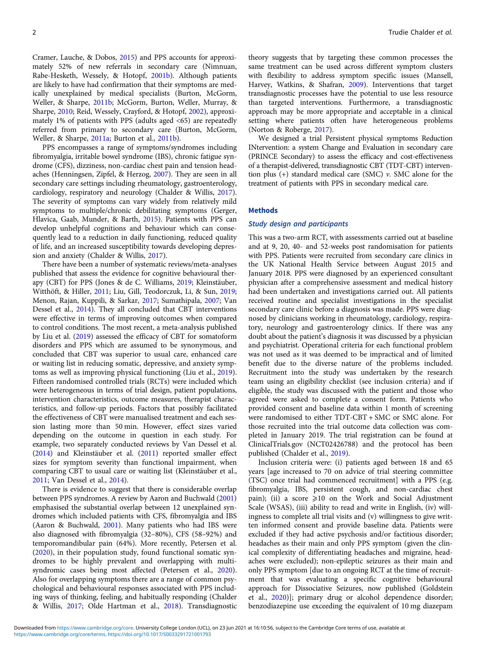Cramer, Lauche, & Dobos, [2015](#page-9-0)) and PPS accounts for approximately 52% of new referrals in secondary care (Nimnuan, Rabe-Hesketh, Wessely, & Hotopf, [2001b\)](#page-10-0). Although patients are likely to have had confirmation that their symptoms are medically unexplained by medical specialists (Burton, McGorm, Weller, & Sharpe, [2011b;](#page-9-0) McGorm, Burton, Weller, Murray, & Sharpe, [2010;](#page-10-0) Reid, Wessely, Crayford, & Hotopf, [2002\)](#page-10-0), approximately 1% of patients with PPS (adults aged <65) are repeatedly referred from primary to secondary care (Burton, McGorm, Weller, & Sharpe, [2011a;](#page-9-0) Burton et al., [2011b\)](#page-9-0).

PPS encompasses a range of symptoms/syndromes including fibromyalgia, irritable bowel syndrome (IBS), chronic fatigue syndrome (CFS), dizziness, non-cardiac chest pain and tension headaches (Henningsen, Zipfel, & Herzog, [2007\)](#page-9-0). They are seen in all secondary care settings including rheumatology, gastroenterology, cardiology, respiratory and neurology (Chalder & Willis, [2017\)](#page-9-0). The severity of symptoms can vary widely from relatively mild symptoms to multiple/chronic debilitating symptoms (Gerger, Hlavica, Gaab, Munder, & Barth, [2015\)](#page-9-0). Patients with PPS can develop unhelpful cognitions and behaviour which can consequently lead to a reduction in daily functioning, reduced quality of life, and an increased susceptibility towards developing depression and anxiety (Chalder & Willis, [2017](#page-9-0)).

There have been a number of systematic reviews/meta-analyses published that assess the evidence for cognitive behavioural therapy (CBT) for PPS (Jones & de C. Williams, [2019](#page-9-0); Kleinstäuber, Witthöft, & Hiller, [2011](#page-9-0); Liu, Gill, Teodorczuk, Li, & Sun, [2019](#page-9-0); Menon, Rajan, Kuppili, & Sarkar, [2017;](#page-10-0) Sumathipala, [2007;](#page-10-0) Van Dessel et al., [2014](#page-10-0)). They all concluded that CBT interventions were effective in terms of improving outcomes when compared to control conditions. The most recent, a meta-analysis published by Liu et al. [\(2019\)](#page-9-0) assessed the efficacy of CBT for somatoform disorders and PPS which are assumed to be synonymous, and concluded that CBT was superior to usual care, enhanced care or waiting list in reducing somatic, depressive, and anxiety symptoms as well as improving physical functioning (Liu et al., [2019\)](#page-9-0). Fifteen randomised controlled trials (RCTs) were included which were heterogeneous in terms of trial design, patient populations, intervention characteristics, outcome measures, therapist characteristics, and follow-up periods. Factors that possibly facilitated the effectiveness of CBT were manualised treatment and each session lasting more than 50 min. However, effect sizes varied depending on the outcome in question in each study. For example, two separately conducted reviews by Van Dessel et al. ([2014](#page-10-0)) and Kleinstäuber et al. ([2011\)](#page-9-0) reported smaller effect sizes for symptom severity than functional impairment, when comparing CBT to usual care or waiting list (Kleinstäuber et al., [2011;](#page-9-0) Van Dessel et al., [2014\)](#page-10-0).

There is evidence to suggest that there is considerable overlap between PPS syndromes. A review by Aaron and Buchwald ([2001\)](#page-9-0) emphasised the substantial overlap between 12 unexplained syndromes which included patients with CFS, fibromyalgia and IBS (Aaron & Buchwald, [2001](#page-9-0)). Many patients who had IBS were also diagnosed with fibromyalgia (32–80%), CFS (58–92%) and temporomandibular pain (64%). More recently, Petersen et al. ([2020](#page-10-0)), in their population study, found functional somatic syndromes to be highly prevalent and overlapping with multisyndromic cases being most affected (Petersen et al., [2020\)](#page-10-0). Also for overlapping symptoms there are a range of common psychological and behavioural responses associated with PPS including ways of thinking, feeling, and habitually responding (Chalder & Willis, [2017;](#page-9-0) Olde Hartman et al., [2018](#page-10-0)). Transdiagnostic

theory suggests that by targeting these common processes the same treatment can be used across different symptom clusters with flexibility to address symptom specific issues (Mansell, Harvey, Watkins, & Shafran, [2009\)](#page-10-0). Interventions that target transdiagnostic processes have the potential to use less resource than targeted interventions. Furthermore, a transdiagnostic approach may be more appropriate and acceptable in a clinical setting where patients often have heterogeneous problems (Norton & Roberge, [2017](#page-10-0)).

We designed a trial Persistent physical symptoms Reduction INtervention: a system Change and Evaluation in secondary care (PRINCE Secondary) to assess the efficacy and cost-effectiveness of a therapist-delivered, transdiagnostic CBT (TDT-CBT) intervention plus  $(+)$  standard medical care (SMC)  $\nu$ . SMC alone for the treatment of patients with PPS in secondary medical care.

# Methods

#### Study design and participants

This was a two-arm RCT, with assessments carried out at baseline and at 9, 20, 40- and 52-weeks post randomisation for patients with PPS. Patients were recruited from secondary care clinics in the UK National Health Service between August 2015 and January 2018. PPS were diagnosed by an experienced consultant physician after a comprehensive assessment and medical history had been undertaken and investigations carried out. All patients received routine and specialist investigations in the specialist secondary care clinic before a diagnosis was made. PPS were diagnosed by clinicians working in rheumatology, cardiology, respiratory, neurology and gastroenterology clinics. If there was any doubt about the patient's diagnosis it was discussed by a physician and psychiatrist. Operational criteria for each functional problem was not used as it was deemed to be impractical and of limited benefit due to the diverse nature of the problems included. Recruitment into the study was undertaken by the research team using an eligibility checklist (see inclusion criteria) and if eligible, the study was discussed with the patient and those who agreed were asked to complete a consent form. Patients who provided consent and baseline data within 1 month of screening were randomised to either TDT-CBT + SMC or SMC alone. For those recruited into the trial outcome data collection was completed in January 2019. The trial registration can be found at ClinicalTrials.gov (NCT02426788) and the protocol has been published (Chalder et al., [2019](#page-9-0)).

Inclusion criteria were: (i) patients aged between 18 and 65 years [age increased to 70 on advice of trial steering committee (TSC) once trial had commenced recruitment] with a PPS (e.g. fibromyalgia, IBS, persistent cough, and non-cardiac chest pain); (ii) a score  $\geq 10$  on the Work and Social Adjustment Scale (WSAS), (iii) ability to read and write in English, (iv) willingness to complete all trial visits and (v) willingness to give written informed consent and provide baseline data. Patients were excluded if they had active psychosis and/or factitious disorder; headaches as their main and only PPS symptom (given the clinical complexity of differentiating headaches and migraine, headaches were excluded); non-epileptic seizures as their main and only PPS symptom [due to an ongoing RCT at the time of recruitment that was evaluating a specific cognitive behavioural approach for Dissociative Seizures, now published (Goldstein et al., [2020\)](#page-9-0)]; primary drug or alcohol dependence disorder; benzodiazepine use exceeding the equivalent of 10 mg diazepam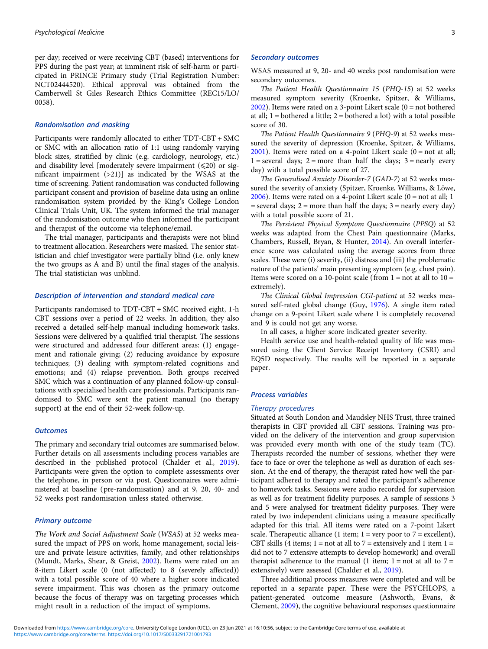per day; received or were receiving CBT (based) interventions for PPS during the past year; at imminent risk of self-harm or participated in PRINCE Primary study (Trial Registration Number: NCT02444520). Ethical approval was obtained from the Camberwell St Giles Research Ethics Committee (REC15/LO/ 0058).

### Randomisation and masking

Participants were randomly allocated to either TDT-CBT + SMC or SMC with an allocation ratio of 1:1 using randomly varying block sizes, stratified by clinic (e.g. cardiology, neurology, etc.) and disability level [moderately severe impairment  $(\leq 20)$  or significant impairment (>21)] as indicated by the WSAS at the time of screening. Patient randomisation was conducted following participant consent and provision of baseline data using an online randomisation system provided by the King's College London Clinical Trials Unit, UK. The system informed the trial manager of the randomisation outcome who then informed the participant and therapist of the outcome via telephone/email.

The trial manager, participants and therapists were not blind to treatment allocation. Researchers were masked. The senior statistician and chief investigator were partially blind (i.e. only knew the two groups as A and B) until the final stages of the analysis. The trial statistician was unblind.

#### Description of intervention and standard medical care

Participants randomised to TDT-CBT + SMC received eight, 1-h CBT sessions over a period of 22 weeks. In addition, they also received a detailed self-help manual including homework tasks. Sessions were delivered by a qualified trial therapist. The sessions were structured and addressed four different areas: (1) engagement and rationale giving; (2) reducing avoidance by exposure techniques; (3) dealing with symptom-related cognitions and emotions; and (4) relapse prevention. Both groups received SMC which was a continuation of any planned follow-up consultations with specialised health care professionals. Participants randomised to SMC were sent the patient manual (no therapy support) at the end of their 52-week follow-up.

### **Outcomes**

The primary and secondary trial outcomes are summarised below. Further details on all assessments including process variables are described in the published protocol (Chalder et al., [2019\)](#page-9-0). Participants were given the option to complete assessments over the telephone, in person or via post. Questionnaires were administered at baseline (pre-randomisation) and at 9, 20, 40- and 52 weeks post randomisation unless stated otherwise.

#### Primary outcome

The Work and Social Adjustment Scale (WSAS) at 52 weeks measured the impact of PPS on work, home management, social leisure and private leisure activities, family, and other relationships (Mundt, Marks, Shear, & Greist, [2002\)](#page-10-0). Items were rated on an 8-item Likert scale (0 (not affected) to 8 (severely affected)) with a total possible score of 40 where a higher score indicated severe impairment. This was chosen as the primary outcome because the focus of therapy was on targeting processes which might result in a reduction of the impact of symptoms.

#### Secondary outcomes

WSAS measured at 9, 20- and 40 weeks post randomisation were secondary outcomes.

The Patient Health Questionnaire 15 (PHQ-15) at 52 weeks measured symptom severity (Kroenke, Spitzer, & Williams,  $2002$ ). Items were rated on a 3-point Likert scale (0 = not bothered at all;  $1 =$  bothered a little;  $2 =$  bothered a lot) with a total possible score of 30.

The Patient Health Questionnaire 9 (PHQ-9) at 52 weeks measured the severity of depression (Kroenke, Spitzer, & Williams,  $2001$ ). Items were rated on a 4-point Likert scale (0 = not at all;  $1 =$  several days;  $2 =$  more than half the days;  $3 =$  nearly every day) with a total possible score of 27.

The Generalised Anxiety Disorder-7 (GAD-7) at 52 weeks measured the severity of anxiety (Spitzer, Kroenke, Williams, & Löwe,  $2006$ ). Items were rated on a 4-point Likert scale (0 = not at all; 1  $=$  several days; 2 = more than half the days; 3 = nearly every day) with a total possible score of 21.

The Persistent Physical Symptom Questionnaire (PPSQ) at 52 weeks was adapted from the Chest Pain questionnaire (Marks, Chambers, Russell, Bryan, & Hunter, [2014\)](#page-10-0). An overall interference score was calculated using the average scores from three scales. These were (i) severity, (ii) distress and (iii) the problematic nature of the patients' main presenting symptom (e.g. chest pain). Items were scored on a 10-point scale (from  $1 = not$  at all to  $10 =$ extremely).

The Clinical Global Impression CGI-patient at 52 weeks measured self-rated global change (Guy, [1976](#page-9-0)). A single item rated change on a 9-point Likert scale where 1 is completely recovered and 9 is could not get any worse.

In all cases, a higher score indicated greater severity.

Health service use and health-related quality of life was measured using the Client Service Receipt Inventory (CSRI) and EQ5D respectively. The results will be reported in a separate paper.

# Process variables

#### Therapy procedures

Situated at South London and Maudsley NHS Trust, three trained therapists in CBT provided all CBT sessions. Training was provided on the delivery of the intervention and group supervision was provided every month with one of the study team (TC). Therapists recorded the number of sessions, whether they were face to face or over the telephone as well as duration of each session. At the end of therapy, the therapist rated how well the participant adhered to therapy and rated the participant's adherence to homework tasks. Sessions were audio recorded for supervision as well as for treatment fidelity purposes. A sample of sessions 3 and 5 were analysed for treatment fidelity purposes. They were rated by two independent clinicians using a measure specifically adapted for this trial. All items were rated on a 7-point Likert scale. Therapeutic alliance (1 item;  $1 = \text{very poor to } 7 = \text{excellent}$ ), CBT skills (4 items;  $1 = not$  at all to  $7 =$  extensively and 1 item  $1 =$ did not to 7 extensive attempts to develop homework) and overall therapist adherence to the manual (1 item;  $1 = not$  at all to  $7 =$ extensively) were assessed (Chalder et al., [2019\)](#page-9-0).

Three additional process measures were completed and will be reported in a separate paper. These were the PSYCHLOPS, a patient-generated outcome measure (Ashworth, Evans, & Clement, [2009](#page-9-0)), the cognitive behavioural responses questionnaire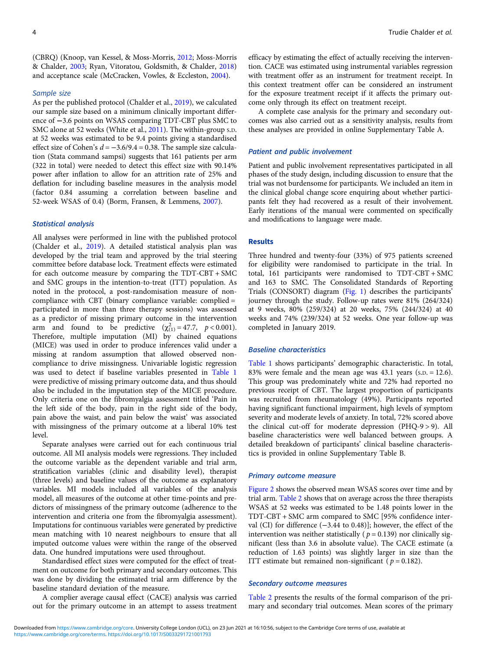(CBRQ) (Knoop, van Kessel, & Moss-Morris, [2012;](#page-9-0) Moss-Morris & Chalder, [2003;](#page-10-0) Ryan, Vitoratou, Goldsmith, & Chalder, [2018\)](#page-10-0) and acceptance scale (McCracken, Vowles, & Eccleston, [2004\)](#page-10-0).

#### Sample size

As per the published protocol (Chalder et al., [2019](#page-9-0)), we calculated our sample size based on a minimum clinically important difference of −3.6 points on WSAS comparing TDT-CBT plus SMC to SMC alone at 52 weeks (White et al., [2011\)](#page-10-0). The within-group s.D. at 52 weeks was estimated to be 9.4 points giving a standardised effect size of Cohen's  $d = -3.6/9.4 = 0.38$ . The sample size calculation (Stata command sampsi) suggests that 161 patients per arm (322 in total) were needed to detect this effect size with 90.14% power after inflation to allow for an attrition rate of 25% and deflation for including baseline measures in the analysis model (factor 0.84 assuming a correlation between baseline and 52-week WSAS of 0.4) (Borm, Fransen, & Lemmens, [2007](#page-9-0)).

#### Statistical analysis

All analyses were performed in line with the published protocol (Chalder et al., [2019](#page-9-0)). A detailed statistical analysis plan was developed by the trial team and approved by the trial steering committee before database lock. Treatment effects were estimated for each outcome measure by comparing the TDT-CBT + SMC and SMC groups in the intention-to-treat (ITT) population. As noted in the protocol, a post-randomisation measure of noncompliance with CBT (binary compliance variable: complied = participated in more than three therapy sessions) was assessed as a predictor of missing primary outcome in the intervention arm and found to be predictive  $(\chi^2_{(1)} = 47.7, p < 0.001)$ . Therefore, multiple imputation (MI) by chained equations (MICE) was used in order to produce inferences valid under a missing at random assumption that allowed observed noncompliance to drive missingness. Univariable logistic regression was used to detect if baseline variables presented in [Table 1](#page-4-0) were predictive of missing primary outcome data, and thus should also be included in the imputation step of the MICE procedure. Only criteria one on the fibromyalgia assessment titled 'Pain in the left side of the body, pain in the right side of the body, pain above the waist, and pain below the waist' was associated with missingness of the primary outcome at a liberal 10% test level.

Separate analyses were carried out for each continuous trial outcome. All MI analysis models were regressions. They included the outcome variable as the dependent variable and trial arm, stratification variables (clinic and disability level), therapist (three levels) and baseline values of the outcome as explanatory variables. MI models included all variables of the analysis model, all measures of the outcome at other time-points and predictors of missingness of the primary outcome (adherence to the intervention and criteria one from the fibromyalgia assessment). Imputations for continuous variables were generated by predictive mean matching with 10 nearest neighbours to ensure that all imputed outcome values were within the range of the observed data. One hundred imputations were used throughout.

Standardised effect sizes were computed for the effect of treatment on outcome for both primary and secondary outcomes. This was done by dividing the estimated trial arm difference by the baseline standard deviation of the measure.

A complier average causal effect (CACE) analysis was carried out for the primary outcome in an attempt to assess treatment

efficacy by estimating the effect of actually receiving the intervention. CACE was estimated using instrumental variables regression with treatment offer as an instrument for treatment receipt. In this context treatment offer can be considered an instrument for the exposure treatment receipt if it affects the primary outcome only through its effect on treatment receipt.

A complete case analysis for the primary and secondary outcomes was also carried out as a sensitivity analysis, results from these analyses are provided in online Supplementary Table A.

# Patient and public involvement

Patient and public involvement representatives participated in all phases of the study design, including discussion to ensure that the trial was not burdensome for participants. We included an item in the clinical global change score enquiring about whether participants felt they had recovered as a result of their involvement. Early iterations of the manual were commented on specifically and modifications to language were made.

#### **Results**

Three hundred and twenty-four (33%) of 975 patients screened for eligibility were randomised to participate in the trial. In total, 161 participants were randomised to TDT-CBT + SMC and 163 to SMC. The Consolidated Standards of Reporting Trials (CONSORT) diagram [\(Fig. 1\)](#page-5-0) describes the participants' journey through the study. Follow-up rates were 81% (264/324) at 9 weeks, 80% (259/324) at 20 weeks, 75% (244/324) at 40 weeks and 74% (239/324) at 52 weeks. One year follow-up was completed in January 2019.

## Baseline characteristics

[Table 1](#page-4-0) shows participants' demographic characteristic. In total, 83% were female and the mean age was  $43.1$  years (s.p. = 12.6). This group was predominately white and 72% had reported no previous receipt of CBT. The largest proportion of participants was recruited from rheumatology (49%). Participants reported having significant functional impairment, high levels of symptom severity and moderate levels of anxiety. In total, 72% scored above the clinical cut-off for moderate depression (PHQ-9 > 9). All baseline characteristics were well balanced between groups. A detailed breakdown of participants' clinical baseline characteristics is provided in online Supplementary Table B.

#### Primary outcome measure

[Figure 2](#page-6-0) shows the observed mean WSAS scores over time and by trial arm. [Table 2](#page-6-0) shows that on average across the three therapists WSAS at 52 weeks was estimated to be 1.48 points lower in the TDT-CBT + SMC arm compared to SMC [95% confidence interval (CI) for difference (−3.44 to 0.48)]; however, the effect of the intervention was neither statistically ( $p = 0.139$ ) nor clinically significant (less than 3.6 in absolute value). The CACE estimate (a reduction of 1.63 points) was slightly larger in size than the ITT estimate but remained non-significant ( $p = 0.182$ ).

# Secondary outcome measures

[Table 2](#page-6-0) presents the results of the formal comparison of the primary and secondary trial outcomes. Mean scores of the primary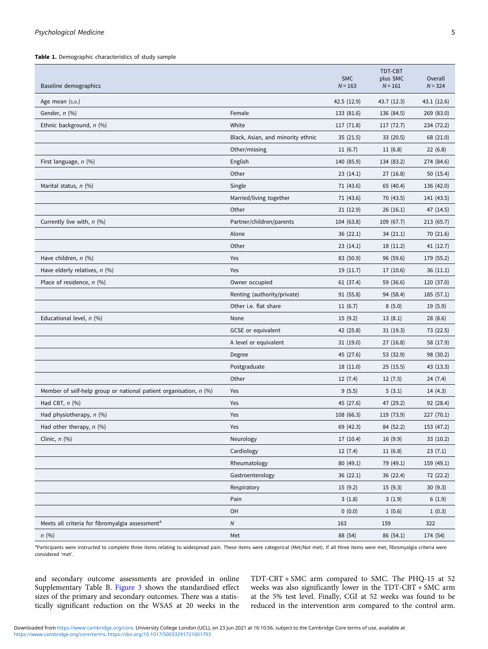<span id="page-4-0"></span>Table 1. Demographic characteristics of study sample

| Age mean (s.p.)<br>42.5 (12.9)<br>43.7 (12.3)<br>43.1 (12.6)<br>Gender, n (%)<br>Female<br>133 (81.6)<br>136 (84.5)<br>269 (83.0)<br>White<br>Ethnic background, $n$ (%)<br>117 (71.8)<br>117 (72.7)<br>234 (72.2)<br>Black, Asian, and minority ethnic<br>35(21.5)<br>33 (20.5)<br>68 (21.0)<br>Other/missing<br>11(6.7)<br>11(6.8)<br>22(6.8)<br>First language, n (%)<br>English<br>140 (85.9)<br>134 (83.2)<br>274 (84.6)<br>Other<br>23(14.1)<br>27(16.8)<br>50 (15.4)<br>Marital status, n (%)<br>Single<br>71 (43.6)<br>65 (40.4)<br>136 (42.0)<br>Married/living together<br>71 (43.6)<br>70 (43.5)<br>141 (43.5)<br>Other<br>21(12.9)<br>26 (16.1)<br>47 (14.5)<br>Currently live with, n (%)<br>Partner/children/parents<br>104 (63.8)<br>109 (67.7)<br>213 (65.7)<br>Alone<br>36(22.1)<br>34 (21.1)<br>70 (21.6)<br>Other<br>23(14.1)<br>18 (11.2)<br>41 (12.7)<br>Have children, n (%)<br>Yes<br>83 (50.9)<br>96 (59.6)<br>179 (55.2)<br>Have elderly relatives, $n$ (%)<br>Yes<br>19(11.7)<br>17 (10.6)<br>36(11.1)<br>Place of residence, n (%)<br>Owner occupied<br>61(37.4)<br>59 (36.6)<br>120 (37.0)<br>Renting (authority/private)<br>91(55.8)<br>94 (58.4)<br>185 (57.1)<br>Other i.e. flat share<br>11(6.7)<br>8(5.0)<br>19(5.9) |
|-------------------------------------------------------------------------------------------------------------------------------------------------------------------------------------------------------------------------------------------------------------------------------------------------------------------------------------------------------------------------------------------------------------------------------------------------------------------------------------------------------------------------------------------------------------------------------------------------------------------------------------------------------------------------------------------------------------------------------------------------------------------------------------------------------------------------------------------------------------------------------------------------------------------------------------------------------------------------------------------------------------------------------------------------------------------------------------------------------------------------------------------------------------------------------------------------------------------------------------------------------|
|                                                                                                                                                                                                                                                                                                                                                                                                                                                                                                                                                                                                                                                                                                                                                                                                                                                                                                                                                                                                                                                                                                                                                                                                                                                       |
|                                                                                                                                                                                                                                                                                                                                                                                                                                                                                                                                                                                                                                                                                                                                                                                                                                                                                                                                                                                                                                                                                                                                                                                                                                                       |
|                                                                                                                                                                                                                                                                                                                                                                                                                                                                                                                                                                                                                                                                                                                                                                                                                                                                                                                                                                                                                                                                                                                                                                                                                                                       |
|                                                                                                                                                                                                                                                                                                                                                                                                                                                                                                                                                                                                                                                                                                                                                                                                                                                                                                                                                                                                                                                                                                                                                                                                                                                       |
|                                                                                                                                                                                                                                                                                                                                                                                                                                                                                                                                                                                                                                                                                                                                                                                                                                                                                                                                                                                                                                                                                                                                                                                                                                                       |
|                                                                                                                                                                                                                                                                                                                                                                                                                                                                                                                                                                                                                                                                                                                                                                                                                                                                                                                                                                                                                                                                                                                                                                                                                                                       |
|                                                                                                                                                                                                                                                                                                                                                                                                                                                                                                                                                                                                                                                                                                                                                                                                                                                                                                                                                                                                                                                                                                                                                                                                                                                       |
|                                                                                                                                                                                                                                                                                                                                                                                                                                                                                                                                                                                                                                                                                                                                                                                                                                                                                                                                                                                                                                                                                                                                                                                                                                                       |
|                                                                                                                                                                                                                                                                                                                                                                                                                                                                                                                                                                                                                                                                                                                                                                                                                                                                                                                                                                                                                                                                                                                                                                                                                                                       |
|                                                                                                                                                                                                                                                                                                                                                                                                                                                                                                                                                                                                                                                                                                                                                                                                                                                                                                                                                                                                                                                                                                                                                                                                                                                       |
|                                                                                                                                                                                                                                                                                                                                                                                                                                                                                                                                                                                                                                                                                                                                                                                                                                                                                                                                                                                                                                                                                                                                                                                                                                                       |
|                                                                                                                                                                                                                                                                                                                                                                                                                                                                                                                                                                                                                                                                                                                                                                                                                                                                                                                                                                                                                                                                                                                                                                                                                                                       |
|                                                                                                                                                                                                                                                                                                                                                                                                                                                                                                                                                                                                                                                                                                                                                                                                                                                                                                                                                                                                                                                                                                                                                                                                                                                       |
|                                                                                                                                                                                                                                                                                                                                                                                                                                                                                                                                                                                                                                                                                                                                                                                                                                                                                                                                                                                                                                                                                                                                                                                                                                                       |
|                                                                                                                                                                                                                                                                                                                                                                                                                                                                                                                                                                                                                                                                                                                                                                                                                                                                                                                                                                                                                                                                                                                                                                                                                                                       |
|                                                                                                                                                                                                                                                                                                                                                                                                                                                                                                                                                                                                                                                                                                                                                                                                                                                                                                                                                                                                                                                                                                                                                                                                                                                       |
|                                                                                                                                                                                                                                                                                                                                                                                                                                                                                                                                                                                                                                                                                                                                                                                                                                                                                                                                                                                                                                                                                                                                                                                                                                                       |
|                                                                                                                                                                                                                                                                                                                                                                                                                                                                                                                                                                                                                                                                                                                                                                                                                                                                                                                                                                                                                                                                                                                                                                                                                                                       |
| Educational level, $n$ (%)<br>None<br>15(9.2)<br>13(8.1)<br>28 (8.6)                                                                                                                                                                                                                                                                                                                                                                                                                                                                                                                                                                                                                                                                                                                                                                                                                                                                                                                                                                                                                                                                                                                                                                                  |
| GCSE or equivalent<br>42 (25.8)<br>31(19.3)<br>73 (22.5)                                                                                                                                                                                                                                                                                                                                                                                                                                                                                                                                                                                                                                                                                                                                                                                                                                                                                                                                                                                                                                                                                                                                                                                              |
| A level or equivalent<br>31(19.0)<br>27 (16.8)<br>58 (17.9)                                                                                                                                                                                                                                                                                                                                                                                                                                                                                                                                                                                                                                                                                                                                                                                                                                                                                                                                                                                                                                                                                                                                                                                           |
| 45 (27.6)<br>Degree<br>53 (32.9)<br>98 (30.2)                                                                                                                                                                                                                                                                                                                                                                                                                                                                                                                                                                                                                                                                                                                                                                                                                                                                                                                                                                                                                                                                                                                                                                                                         |
| 18 (11.0)<br>Postgraduate<br>25(15.5)<br>43 (13.3)                                                                                                                                                                                                                                                                                                                                                                                                                                                                                                                                                                                                                                                                                                                                                                                                                                                                                                                                                                                                                                                                                                                                                                                                    |
| Other<br>12(7.4)<br>12(7.5)<br>24 (7.4)                                                                                                                                                                                                                                                                                                                                                                                                                                                                                                                                                                                                                                                                                                                                                                                                                                                                                                                                                                                                                                                                                                                                                                                                               |
| Member of self-help group or national patient organisation, $n$ (%)<br>Yes<br>9(5.5)<br>5(3.1)<br>14(4.3)                                                                                                                                                                                                                                                                                                                                                                                                                                                                                                                                                                                                                                                                                                                                                                                                                                                                                                                                                                                                                                                                                                                                             |
| Had CBT, $n$ (%)<br>Yes<br>45 (27.6)<br>47 (29.2)<br>92 (28.4)                                                                                                                                                                                                                                                                                                                                                                                                                                                                                                                                                                                                                                                                                                                                                                                                                                                                                                                                                                                                                                                                                                                                                                                        |
| Had physiotherapy, $n$ (%)<br>Yes<br>108 (66.3)<br>227 (70.1)<br>119 (73.9)                                                                                                                                                                                                                                                                                                                                                                                                                                                                                                                                                                                                                                                                                                                                                                                                                                                                                                                                                                                                                                                                                                                                                                           |
| Had other therapy, $n$ (%)<br>Yes<br>69 (42.3)<br>84 (52.2)<br>153 (47.2)                                                                                                                                                                                                                                                                                                                                                                                                                                                                                                                                                                                                                                                                                                                                                                                                                                                                                                                                                                                                                                                                                                                                                                             |
| Clinic, $n$ (%)<br>Neurology<br>17 (10.4)<br>16 (9.9)<br>33 (10.2)                                                                                                                                                                                                                                                                                                                                                                                                                                                                                                                                                                                                                                                                                                                                                                                                                                                                                                                                                                                                                                                                                                                                                                                    |
| Cardiology<br>12(7.4)<br>11(6.8)<br>23(7.1)                                                                                                                                                                                                                                                                                                                                                                                                                                                                                                                                                                                                                                                                                                                                                                                                                                                                                                                                                                                                                                                                                                                                                                                                           |
| Rheumatology<br>80 (49.1)<br>79 (49.1)<br>159 (49.1)                                                                                                                                                                                                                                                                                                                                                                                                                                                                                                                                                                                                                                                                                                                                                                                                                                                                                                                                                                                                                                                                                                                                                                                                  |
| Gastroenterology<br>36(22.1)<br>36 (22.4)<br>72 (22.2)                                                                                                                                                                                                                                                                                                                                                                                                                                                                                                                                                                                                                                                                                                                                                                                                                                                                                                                                                                                                                                                                                                                                                                                                |
| 15 (9.2)<br>Respiratory<br>15(9.3)<br>30(9.3)                                                                                                                                                                                                                                                                                                                                                                                                                                                                                                                                                                                                                                                                                                                                                                                                                                                                                                                                                                                                                                                                                                                                                                                                         |
| Pain<br>3(1.8)<br>3(1.9)<br>6(1.9)                                                                                                                                                                                                                                                                                                                                                                                                                                                                                                                                                                                                                                                                                                                                                                                                                                                                                                                                                                                                                                                                                                                                                                                                                    |
| OH<br>0(0.0)<br>1(0.6)<br>1(0.3)                                                                                                                                                                                                                                                                                                                                                                                                                                                                                                                                                                                                                                                                                                                                                                                                                                                                                                                                                                                                                                                                                                                                                                                                                      |
| ${\cal N}$<br>Meets all criteria for fibromyalgia assessment <sup>a</sup><br>163<br>159<br>322                                                                                                                                                                                                                                                                                                                                                                                                                                                                                                                                                                                                                                                                                                                                                                                                                                                                                                                                                                                                                                                                                                                                                        |
| n(%)<br>Met<br>88 (54)<br>86 (54.1)<br>174 (54)                                                                                                                                                                                                                                                                                                                                                                                                                                                                                                                                                                                                                                                                                                                                                                                                                                                                                                                                                                                                                                                                                                                                                                                                       |

<sup>a</sup>Participants were instructed to complete three items relating to widespread pain. These items were categorical (Met/Not met). If all three items were met, fibromyalgia criteria were considered 'met'.

and secondary outcome assessments are provided in online Supplementary Table B. [Figure 3](#page-7-0) shows the standardised effect sizes of the primary and secondary outcomes. There was a statistically significant reduction on the WSAS at 20 weeks in the TDT-CBT + SMC arm compared to SMC. The PHQ-15 at 52 weeks was also significantly lower in the TDT-CBT + SMC arm at the 5% test level. Finally, CGI at 52 weeks was found to be reduced in the intervention arm compared to the control arm.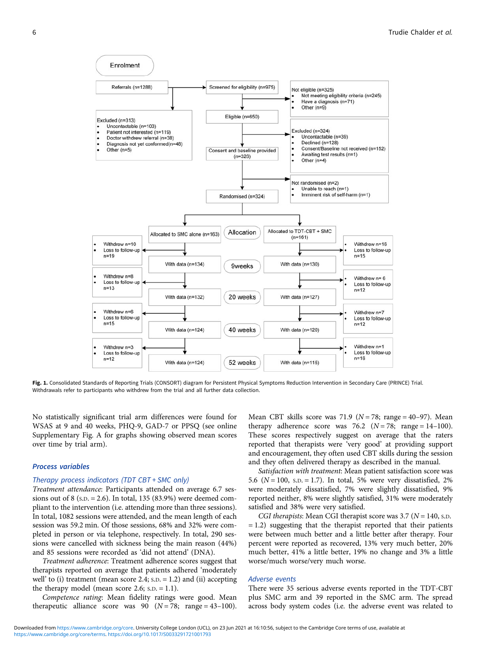<span id="page-5-0"></span>

Fig. 1. Consolidated Standards of Reporting Trials (CONSORT) diagram for Persistent Physical Symptoms Reduction Intervention in Secondary Care (PRINCE) Trial. Withdrawals refer to participants who withdrew from the trial and all further data collection.

No statistically significant trial arm differences were found for WSAS at 9 and 40 weeks, PHQ-9, GAD-7 or PPSQ (see online Supplementary Fig. A for graphs showing observed mean scores over time by trial arm).

#### Process variables

# Therapy process indicators (TDT CBT + SMC only)

Treatment attendance: Participants attended on average 6.7 sessions out of 8 (s.p.  $= 2.6$ ). In total, 135 (83.9%) were deemed compliant to the intervention (i.e. attending more than three sessions). In total, 1082 sessions were attended, and the mean length of each session was 59.2 min. Of those sessions, 68% and 32% were completed in person or via telephone, respectively. In total, 290 sessions were cancelled with sickness being the main reason (44%) and 85 sessions were recorded as 'did not attend' (DNA).

Treatment adherence: Treatment adherence scores suggest that therapists reported on average that patients adhered 'moderately well' to (i) treatment (mean score 2.4;  $s.D. = 1.2$ ) and (ii) accepting the therapy model (mean score  $2.6$ ; s.p.  $= 1.1$ ).

Competence rating: Mean fidelity ratings were good. Mean therapeutic alliance score was  $90 (N = 78; \text{ range} = 43 - 100)$ .

Mean CBT skills score was 71.9 ( $N = 78$ ; range = 40-97). Mean therapy adherence score was 76.2  $(N = 78; \text{ range} = 14-100)$ . These scores respectively suggest on average that the raters reported that therapists were 'very good' at providing support and encouragement, they often used CBT skills during the session and they often delivered therapy as described in the manual.

Satisfaction with treatment: Mean patient satisfaction score was 5.6 ( $N = 100$ , s.p. = 1.7). In total, 5% were very dissatisfied, 2% were moderately dissatisfied, 7% were slightly dissatisfied, 9% reported neither, 8% were slightly satisfied, 31% were moderately satisfied and 38% were very satisfied.

CGI therapists: Mean CGI therapist score was 3.7 ( $N = 140$ , s.p.  $= 1.2$ ) suggesting that the therapist reported that their patients were between much better and a little better after therapy. Four percent were reported as recovered, 13% very much better, 20% much better, 41% a little better, 19% no change and 3% a little worse/much worse/very much worse.

### Adverse events

There were 35 serious adverse events reported in the TDT-CBT plus SMC arm and 39 reported in the SMC arm. The spread across body system codes (i.e. the adverse event was related to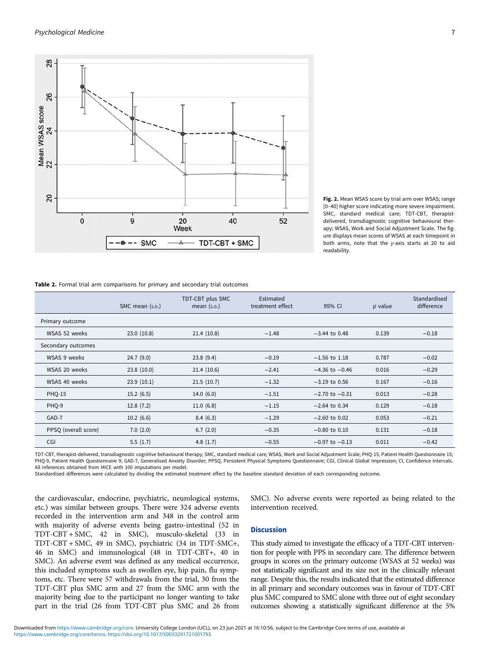<span id="page-6-0"></span>

Fig. 2. Mean WSAS score by trial arm over WSAS; range [0–40] higher score indicating more severe impairment. SMC, standard medical care; TDT-CBT, therapistdelivered, transdiagnostic cognitive behavioural therapy; WSAS, Work and Social Adjustment Scale. The figure displays mean scores of WSAS at each timepoint in both arms, note that the y-axis starts at 20 to aid readability.

|                      | SMC mean (s.p.) | TDT-CBT plus SMC<br>mean $(s.p.)$ | Estimated<br>treatment effect | 95% CI             | $p$ value | Standardised<br>difference |
|----------------------|-----------------|-----------------------------------|-------------------------------|--------------------|-----------|----------------------------|
| Primary outcome      |                 |                                   |                               |                    |           |                            |
| WSAS 52 weeks        | 23.0(10.8)      | 21.4(10.8)                        | $-1.48$                       | $-3.44$ to 0.48    | 0.139     | $-0.18$                    |
| Secondary outcomes   |                 |                                   |                               |                    |           |                            |
| WSAS 9 weeks         | 24.7(9.0)       | 23.8(9.4)                         | $-0.19$                       | $-1.56$ to 1.18    | 0.787     | $-0.02$                    |
| WSAS 20 weeks        | 23.8(10.0)      | 21.4(10.6)                        | $-2.41$                       | $-4.36$ to $-0.46$ | 0.016     | $-0.29$                    |
| WSAS 40 weeks        | 23.9(10.1)      | 21.5(10.7)                        | $-1.32$                       | $-3.19$ to 0.56    | 0.167     | $-0.16$                    |
| <b>PHQ-15</b>        | 15.2(6.5)       | 14.0(6.0)                         | $-1.51$                       | $-2.70$ to $-0.31$ | 0.013     | $-0.28$                    |
| PHO-9                | 12.8(7.2)       | 11.0(6.8)                         | $-1.15$                       | $-2.64$ to 0.34    | 0.129     | $-0.18$                    |
| GAD-7                | 10.2(6.6)       | 8.4(6.3)                          | $-1.29$                       | $-2.60$ to 0.02    | 0.053     | $-0.21$                    |
| PPSO (overall score) | 7.0(2.0)        | 6.7(2.0)                          | $-0.35$                       | $-0.80$ to $0.10$  | 0.131     | $-0.18$                    |
| CGI                  | 5.5(1.7)        | 4.8(1.7)                          | $-0.55$                       | $-0.97$ to $-0.13$ | 0.011     | $-0.42$                    |

TDT-CBT, therapist-delivered, transdiagnostic cognitive behavioural therapy; SMC, standard medical care; WSAS, Work and Social Adjustment Scale; PHQ-15, Patient Health Questionnaire 15; PHQ-9, Patient Health Questionnaire 9; GAD-7, Generalised Anxiety Disorder; PPSQ, Persistent Physical Symptoms Questionnaire; CGI, Clinical Global Impression; CI, Confidence Intervals. All inferences obtained from MICE with 100 imputations per model.

Standardised differences were calculated by dividing the estimated treatment effect by the baseline standard deviation of each corresponding outcome.

the cardiovascular, endocrine, psychiatric, neurological systems, etc.) was similar between groups. There were 324 adverse events recorded in the intervention arm and 348 in the control arm with majority of adverse events being gastro-intestinal (52 in TDT-CBT + SMC, 42 in SMC), musculo-skeletal (33 in TDT-CBT + SMC, 49 in SMC), psychiatric (34 in TDT-SMC+, 46 in SMC) and immunological (48 in TDT-CBT+, 40 in SMC). An adverse event was defined as any medical occurrence, this included symptoms such as swollen eye, hip pain, flu symptoms, etc. There were 57 withdrawals from the trial, 30 from the TDT-CBT plus SMC arm and 27 from the SMC arm with the majority being due to the participant no longer wanting to take part in the trial (26 from TDT-CBT plus SMC and 26 from SMC). No adverse events were reported as being related to the intervention received.

# **Discussion**

This study aimed to investigate the efficacy of a TDT-CBT intervention for people with PPS in secondary care. The difference between groups in scores on the primary outcome (WSAS at 52 weeks) was not statistically significant and its size not in the clinically relevant range. Despite this, the results indicated that the estimated difference in all primary and secondary outcomes was in favour of TDT-CBT plus SMC compared to SMC alone with three out of eight secondary outcomes showing a statistically significant difference at the 5%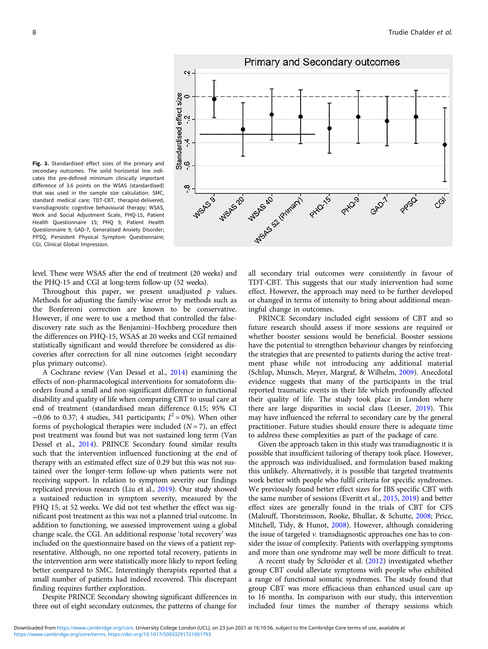<span id="page-7-0"></span>

level. These were WSAS after the end of treatment (20 weeks) and the PHQ-15 and CGI at long-term follow-up (52 weeks).

Throughout this paper, we present unadjusted  $p$  values. Methods for adjusting the family-wise error by methods such as the Bonferroni correction are known to be conservative. However, if one were to use a method that controlled the falsediscovery rate such as the Benjamini–Hochberg procedure then the differences on PHQ-15, WSAS at 20 weeks and CGI remained statistically significant and would therefore be considered as discoveries after correction for all nine outcomes (eight secondary plus primary outcome).

A Cochrane review (Van Dessel et al., [2014](#page-10-0)) examining the effects of non-pharmacological interventions for somatoform disorders found a small and non-significant difference in functional disability and quality of life when comparing CBT to usual care at end of treatment (standardised mean difference 0.15; 95% CI  $-0.06$  to 0.37; 4 studies, 341 participants;  $I^2 = 0\%$ ). When other forms of psychological therapies were included  $(N=7)$ , an effect post treatment was found but was not sustained long term (Van Dessel et al., [2014](#page-10-0)). PRINCE Secondary found similar results such that the intervention influenced functioning at the end of therapy with an estimated effect size of 0.29 but this was not sustained over the longer-term follow-up when patients were not receiving support. In relation to symptom severity our findings replicated previous research (Liu et al., [2019](#page-9-0)). Our study showed a sustained reduction in symptom severity, measured by the PHQ 15, at 52 weeks. We did not test whether the effect was significant post treatment as this was not a planned trial outcome. In addition to functioning, we assessed improvement using a global change scale, the CGI. An additional response 'total recovery' was included on the questionnaire based on the views of a patient representative. Although, no one reported total recovery, patients in the intervention arm were statistically more likely to report feeling better compared to SMC. Interestingly therapists reported that a small number of patients had indeed recovered. This discrepant finding requires further exploration.

Despite PRINCE Secondary showing significant differences in three out of eight secondary outcomes, the patterns of change for all secondary trial outcomes were consistently in favour of TDT-CBT. This suggests that our study intervention had some effect. However, the approach may need to be further developed or changed in terms of intensity to bring about additional meaningful change in outcomes.

PRINCE Secondary included eight sessions of CBT and so future research should assess if more sessions are required or whether booster sessions would be beneficial. Booster sessions have the potential to strengthen behaviour changes by reinforcing the strategies that are presented to patients during the active treatment phase while not introducing any additional material (Schlup, Munsch, Meyer, Margraf, & Wilhelm, [2009](#page-10-0)). Anecdotal evidence suggests that many of the participants in the trial reported traumatic events in their life which profoundly affected their quality of life. The study took place in London where there are large disparities in social class (Leeser, [2019](#page-9-0)). This may have influenced the referral to secondary care by the general practitioner. Future studies should ensure there is adequate time to address these complexities as part of the package of care.

Given the approach taken in this study was transdiagnostic it is possible that insufficient tailoring of therapy took place. However, the approach was individualised, and formulation based making this unlikely. Alternatively, it is possible that targeted treatments work better with people who fulfil criteria for specific syndromes. We previously found better effect sizes for IBS specific CBT with the same number of sessions (Everitt et al., [2015,](#page-9-0) [2019](#page-9-0)) and better effect sizes are generally found in the trials of CBT for CFS (Malouff, Thorsteinsson, Rooke, Bhullar, & Schutte, [2008;](#page-10-0) Price, Mitchell, Tidy, & Hunot, [2008\)](#page-10-0). However, although considering the issue of targeted  $\nu$ . transdiagnostic approaches one has to consider the issue of complexity. Patients with overlapping symptoms and more than one syndrome may well be more difficult to treat.

A recent study by Schröder et al. ([2012\)](#page-10-0) investigated whether group CBT could alleviate symptoms with people who exhibited a range of functional somatic syndromes. The study found that group CBT was more efficacious than enhanced usual care up to 16 months. In comparison with our study, this intervention included four times the number of therapy sessions which

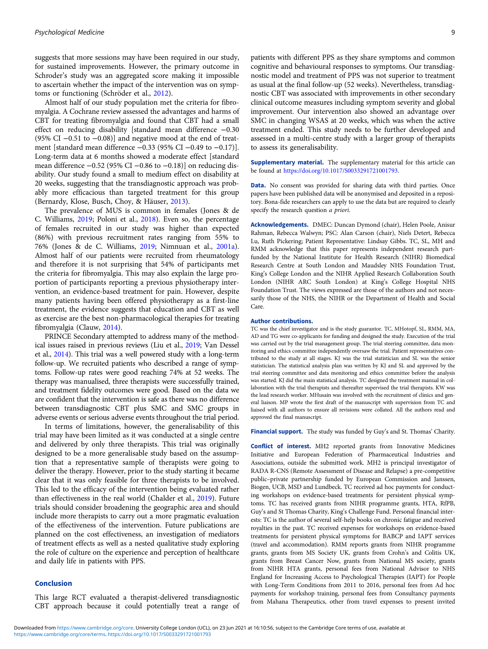suggests that more sessions may have been required in our study, for sustained improvements. However, the primary outcome in Schroder's study was an aggregated score making it impossible to ascertain whether the impact of the intervention was on symptoms or functioning (Schröder et al., [2012\)](#page-10-0).

Almost half of our study population met the criteria for fibromyalgia. A Cochrane review assessed the advantages and harms of CBT for treating fibromyalgia and found that CBT had a small effect on reducing disability [standard mean difference −0.30 (95% CI −0.51 to −0.08)] and negative mood at the end of treatment [standard mean difference −0.33 (95% CI −0.49 to −0.17)]. Long-term data at 6 months showed a moderate effect [standard mean difference −0.52 (95% CI −0.86 to −0.18)] on reducing disability. Our study found a small to medium effect on disability at 20 weeks, suggesting that the transdiagnostic approach was probably more efficacious than targeted treatment for this group (Bernardy, Klose, Busch, Choy, & Häuser, [2013](#page-9-0)).

The prevalence of MUS is common in females (Jones & de C. Williams, [2019;](#page-9-0) Poloni et al., [2018](#page-10-0)). Even so, the percentage of females recruited in our study was higher than expected (86%) with previous recruitment rates ranging from 55% to 76% (Jones & de C. Williams, [2019](#page-9-0); Nimnuan et al., [2001a\)](#page-10-0). Almost half of our patients were recruited from rheumatology and therefore it is not surprising that 54% of participants met the criteria for fibromyalgia. This may also explain the large proportion of participants reporting a previous physiotherapy intervention, an evidence-based treatment for pain. However, despite many patients having been offered physiotherapy as a first-line treatment, the evidence suggests that education and CBT as well as exercise are the best non-pharmacological therapies for treating fibromyalgia (Clauw, [2014\)](#page-9-0).

PRINCE Secondary attempted to address many of the methodical issues raised in previous reviews (Liu et al., [2019](#page-9-0); Van Dessel et al., [2014\)](#page-10-0). This trial was a well powered study with a long-term follow-up. We recruited patients who described a range of symptoms. Follow-up rates were good reaching 74% at 52 weeks. The therapy was manualised, three therapists were successfully trained, and treatment fidelity outcomes were good. Based on the data we are confident that the intervention is safe as there was no difference between transdiagnostic CBT plus SMC and SMC groups in adverse events or serious adverse events throughout the trial period.

In terms of limitations, however, the generalisability of this trial may have been limited as it was conducted at a single centre and delivered by only three therapists. This trial was originally designed to be a more generalisable study based on the assumption that a representative sample of therapists were going to deliver the therapy. However, prior to the study starting it became clear that it was only feasible for three therapists to be involved. This led to the efficacy of the intervention being evaluated rather than effectiveness in the real world (Chalder et al., [2019\)](#page-9-0). Future trials should consider broadening the geographic area and should include more therapists to carry out a more pragmatic evaluation of the effectiveness of the intervention. Future publications are planned on the cost effectiveness, an investigation of mediators of treatment effects as well as a nested qualitative study exploring the role of culture on the experience and perception of healthcare and daily life in patients with PPS.

# **Conclusion**

This large RCT evaluated a therapist-delivered transdiagnostic CBT approach because it could potentially treat a range of patients with different PPS as they share symptoms and common cognitive and behavioural responses to symptoms. Our transdiagnostic model and treatment of PPS was not superior to treatment as usual at the final follow-up (52 weeks). Nevertheless, transdiagnostic CBT was associated with improvements in other secondary clinical outcome measures including symptom severity and global improvement. Our intervention also showed an advantage over SMC in changing WSAS at 20 weeks, which was when the active treatment ended. This study needs to be further developed and assessed in a multi-centre study with a larger group of therapists

Supplementary material. The supplementary material for this article can be found at [https://doi.org/10.1017/S0033291721001793.](https://doi.org/10.1017/S0033291721001793)

Data. No consent was provided for sharing data with third parties. Once papers have been published data will be anonymised and deposited in a repository. Bona-fide researchers can apply to use the data but are required to clearly specify the research question a priori.

Acknowledgements. DMEC: Duncan Dymond (chair), Helen Poole, Anisur Rahman, Rebecca Walwyn; PSC: Alan Carson (chair), Niels Detert, Rebecca Lu, Ruth Pickering; Patient Representative: Lindsay Gibbs. TC, SL, MH and RMM acknowledge that this paper represents independent research partfunded by the National Institute for Health Research (NIHR) Biomedical Research Centre at South London and Maudsley NHS Foundation Trust, King's College London and the NIHR Applied Research Collaboration South London (NIHR ARC South London) at King's College Hospital NHS Foundation Trust. The views expressed are those of the authors and not necessarily those of the NHS, the NIHR or the Department of Health and Social Care.

#### Author contributions.

to assess its generalisability.

TC was the chief investigator and is the study guarantor. TC, MHotopf, SL, RMM, MA, AD and TG were co-applicants for funding and designed the study. Execution of the trial was carried out by the trial management group. The trial steering committee, data monitoring and ethics committee independently oversaw the trial. Patient representatives contributed to the study at all stages. KJ was the trial statistician and SL was the senior statistician. The statistical analysis plan was written by KJ and SL and approved by the trial steering committee and data monitoring and ethics committee before the analysis was started. KJ did the main statistical analysis. TC designed the treatment manual in collaboration with the trial therapists and thereafter supervised the trial therapists. KW was the lead research worker. MHusain was involved with the recruitment of clinics and general liaison. MP wrote the first draft of the manuscript with supervision from TC and liaised with all authors to ensure all revisions were collated. All the authors read and approved the final manuscript.

Financial support. The study was funded by Guy's and St. Thomas' Charity.

Conflict of interest. MH2 reported grants from Innovative Medicines Initiative and European Federation of Pharmaceutical Industries and Associations, outside the submitted work. MH2 is principal investigator of RADA R-CNS (Remote Assessment of Disease and Relapse) a pre-competitive public–private partnership funded by European Commission and Janssen, Biogen, UCB, MSD and Lundbeck. TC received ad hoc payments for conducting workshops on evidence-based treatments for persistent physical symptoms. TC has received grants from NIHR programme grants, HTA, RfPB, Guy's and St Thomas Charity, King's Challenge Fund. Personal financial interests: TC is the author of several self-help books on chronic fatigue and received royalties in the past. TC received expenses for workshops on evidence-based treatments for persistent physical symptoms for BABCP and IAPT services (travel and accommodation). RMM reports grants from NIHR programme grants, grants from MS Society UK, grants from Crohn's and Colitis UK, grants from Breast Cancer Now, grants from National MS society, grants from NIHR HTA grants, personal fees from National Advisor to NHS England for Increasing Access to Psychological Therapies (IAPT) for People with Long-Term Conditions from 2011 to 2016, personal fees from Ad hoc payments for workshop training, personal fees from Consultancy payments from Mahana Therapeutics, other from travel expenses to present invited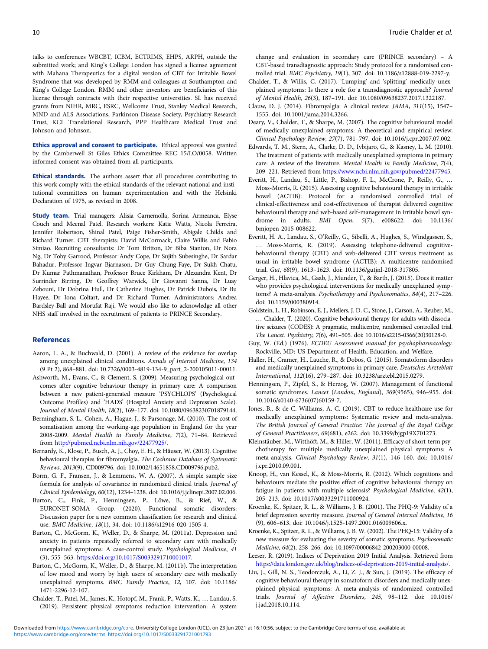<span id="page-9-0"></span>talks to conferences WBCBT, ICBM, ECTRIMS, EHPS, ARPH, outside the submitted work; and King's College London has signed a license agreement with Mahana Therapeutics for a digital version of CBT for Irritable Bowel Syndrome that was developed by RMM and colleagues at Southampton and King's College London. RMM and other inventors are beneficiaries of this license through contracts with their respective universities. SL has received grants from NIHR, MRC, ESRC, Wellcome Trust, Stanley Medical Research, MND and ALS Associations, Parkinson Disease Society, Psychiatry Research Trust, KCL Translational Research, PPP Healthcare Medical Trust and Johnson and Johnson.

Ethics approval and consent to participate. Ethical approval was granted by the Camberwell St Giles Ethics Committee REC 15/LO/0058. Written informed consent was obtained from all participants.

Ethical standards. The authors assert that all procedures contributing to this work comply with the ethical standards of the relevant national and institutional committees on human experimentation and with the Helsinki Declaration of 1975, as revised in 2008.

Study team. Trial managers: Alisia Carnemolla, Sorina Armeanca, Elyse Couch and Meenal Patel. Research workers: Katie Watts, Nicola Ferreira, Jennifer Robertson, Shinal Patel, Paige Fisher-Smith, Abigale Childs and Richard Turner. CBT therapists: David McCormack, Claire Willis and Fabio Simiao. Recruiting consultants: Dr Tom Britton, Dr Biba Stanton, Dr Nora Ng, Dr Toby Garrood, Professor Andy Cope, Dr Sujith Subesinghe, Dr Sardar Bahadur, Professor Ingvar Bjarnason, Dr Guy Chung-Faye, Dr Sukh Chatu, Dr Kumar Pathmanathan, Professor Bruce Kirkham, Dr Alexandra Kent, Dr Surrinder Birring, Dr Geoffrey Warwick, Dr Giovanni Sanna, Dr Luay Zebouni, Dr Dobrina Hull, Dr Catherine Hughes, Dr Patrick Dubois, Dr Bu Hayee, Dr Iona Coltart, and Dr Richard Turner. Administrators: Andrea Bardsley-Ball and Morufat Raji. We would also like to acknowledge all other NHS staff involved in the recruitment of patients to PRINCE Secondary.

#### References

- Aaron, L. A., & Buchwald, D. (2001). A review of the evidence for overlap among unexplained clinical conditions. Annals of Internal Medicine, 134 (9 Pt 2), 868–881. doi: 10.7326/0003-4819-134-9\_part\_2-200105011-00011.
- Ashworth, M., Evans, C., & Clement, S. (2009). Measuring psychological outcomes after cognitive behaviour therapy in primary care: A comparison between a new patient-generated measure 'PSYCHLOPS' (Psychological Outcome Profiles) and 'HADS' (Hospital Anxiety and Depression Scale). Journal of Mental Health, 18(2), 169–177. doi: 10.1080/09638230701879144.
- Bermingham, S. L., Cohen, A., Hague, J., & Parsonage, M. (2010). The cost of somatisation among the working-age population in England for the year 2008-2009. Mental Health in Family Medicine, 7(2), 71–84. Retrieved from <http://pubmed.ncbi.nlm.nih.gov/22477925/>.
- Bernardy, K., Klose, P., Busch, A. J., Choy, E. H., & Häuser, W. (2013). Cognitive behavioural therapies for fibromyalgia. The Cochrane Database of Systematic Reviews, 2013(9), CD009796. doi: 10.1002/14651858.CD009796.pub2.
- Borm, G. F., Fransen, J., & Lemmens, W. A. (2007). A simple sample size formula for analysis of covariance in randomized clinical trials. Journal of Clinical Epidemiology, 60(12), 1234–1238. doi: 10.1016/j.jclinepi.2007.02.006.
- Burton, C., Fink, P., Henningsen, P., Löwe, B., & Rief, W., & EURONET-SOMA Group. (2020). Functional somatic disorders: Discussion paper for a new common classification for research and clinical use. BMC Medicine, 18(1), 34. doi: 10.1186/s12916-020-1505-4.
- Burton, C., McGorm, K., Weller, D., & Sharpe, M. (2011a). Depression and anxiety in patients repeatedly referred to secondary care with medically unexplained symptoms: A case-control study. Psychological Medicine, 41 (3), 555–563. <https://doi.org/10.1017/S0033291710001017>.
- Burton, C., McGorm, K., Weller, D., & Sharpe, M. (2011b). The interpretation of low mood and worry by high users of secondary care with medically unexplained symptoms. BMC Family Practice, 12, 107. doi: 10.1186/ 1471-2296-12-107.
- Chalder, T., Patel, M., James, K., Hotopf, M., Frank, P., Watts, K., … Landau, S. (2019). Persistent physical symptoms reduction intervention: A system

change and evaluation in secondary care (PRINCE secondary) – A CBT-based transdiagnostic approach: Study protocol for a randomised controlled trial. BMC Psychiatry, 19(1), 307. doi: 10.1186/s12888-019-2297-y.

- Chalder, T., & Willis, C. (2017). 'Lumping' and 'splitting' medically unexplained symptoms: Is there a role for a transdiagnostic approach? Journal of Mental Health, 26(3), 187–191. doi: 10.1080/09638237.2017.1322187.
- Clauw, D. J. (2014). Fibromyalgia: A clinical review. JAMA, 311(15), 1547– 1555. doi: 10.1001/jama.2014.3266.
- Deary, V., Chalder, T., & Sharpe, M. (2007). The cognitive behavioural model of medically unexplained symptoms: A theoretical and empirical review. Clinical Psychology Review, 27(7), 781–797. doi: 10.1016/j.cpr.2007.07.002.
- Edwards, T. M., Stern, A., Clarke, D. D., Ivbijaro, G., & Kasney, L. M. (2010). The treatment of patients with medically unexplained symptoms in primary care: A review of the literature. Mental Health in Family Medicine, 7(4), 209–221. Retrieved from [https://www.ncbi.nlm.nih.gov/pubmed/22477945.](https://www.ncbi.nlm.nih.gov/pubmed/22477945)
- Everitt, H., Landau, S., Little, P., Bishop, F. L., McCrone, P., Reilly, G., … Moss-Morris, R. (2015). Assessing cognitive behavioural therapy in irritable bowel (ACTIB): Protocol for a randomised controlled trial of clinical-effectiveness and cost-effectiveness of therapist delivered cognitive behavioural therapy and web-based self-management in irritable bowel syndrome in adults. BMJ Open, 5(7), e008622. doi: 10.1136/ bmjopen-2015-008622.
- Everitt, H. A., Landau, S., O'Reilly, G., Sibelli, A., Hughes, S., Windgassen, S., … Moss-Morris, R. (2019). Assessing telephone-delivered cognitivebehavioural therapy (CBT) and web-delivered CBT versus treatment as usual in irritable bowel syndrome (ACTIB): A multicentre randomised trial. Gut, 68(9), 1613–1623. doi: 10.1136/gutjnl-2018-317805.
- Gerger, H., Hlavica, M., Gaab, J., Munder, T., & Barth, J. (2015). Does it matter who provides psychological interventions for medically unexplained symptoms? A meta-analysis. Psychotherapy and Psychosomatics, 84(4), 217–226. doi: 10.1159/000380914.
- Goldstein, L. H., Robinson, E. J., Mellers, J. D. C., Stone, J., Carson, A., Reuber, M., … Chalder, T. (2020). Cognitive behavioural therapy for adults with dissociative seizures (CODES): A pragmatic, multicentre, randomised controlled trial. The Lancet. Psychiatry, 7(6), 491–505. doi: 10.1016/s2215-0366(20)30128-0.
- Guy, W. (Ed.) (1976). ECDEU Assessment manual for psychopharmacology. Rockville, MD: US Department of Health, Education, and Welfare.
- Haller, H., Cramer, H., Lauche, R., & Dobos, G. (2015). Somatoform disorders and medically unexplained symptoms in primary care. Deutsches Arzteblatt International, 112(16), 279–287. doi: 10.3238/arztebl.2015.0279.
- Henningsen, P., Zipfel, S., & Herzog, W. (2007). Management of functional somatic syndromes. Lancet (London, England), 369(9565), 946–955. doi: 10.1016/s0140-6736(07)60159-7.
- Jones, B., & de C. Williams, A. C. (2019). CBT to reduce healthcare use for medically unexplained symptoms: Systematic review and meta-analysis. The British Journal of General Practice: The Journal of the Royal College of General Practitioners, 69(681), e262. doi: 10.3399/bjgp19X701273.
- Kleinstäuber, M., Witthöft, M., & Hiller, W. (2011). Efficacy of short-term psychotherapy for multiple medically unexplained physical symptoms: A meta-analysis. Clinical Psychology Review, 31(1), 146–160. doi: 10.1016/ j.cpr.2010.09.001.
- Knoop, H., van Kessel, K., & Moss-Morris, R. (2012). Which cognitions and behaviours mediate the positive effect of cognitive behavioural therapy on fatigue in patients with multiple sclerosis? Psychological Medicine, 42(1), 205–213. doi: 10.1017/s0033291711000924.
- Kroenke, K., Spitzer, R. L., & Williams, J. B. (2001). The PHQ-9: Validity of a brief depression severity measure. Journal of General Internal Medicine, 16 (9), 606–613. doi: 10.1046/j.1525-1497.2001.016009606.x.
- Kroenke, K., Spitzer, R. L., & Williams, J. B. W. (2002). The PHQ-15: Validity of a new measure for evaluating the severity of somatic symptoms. Psychosomatic Medicine, 64(2), 258–266. doi: 10.1097/00006842-200203000-00008.
- Leeser, R. (2019). Indices of Deprivation 2019 Initial Analysis. Retrieved from [https://data.london.gov.uk/blog/indices-of-deprivation-2019-initial-analysis/.](https://data.london.gov.uk/blog/indices-of-deprivation-2019-initial-analysis/)
- Liu, J., Gill, N. S., Teodorczuk, A., Li, Z. J., & Sun, J. (2019). The efficacy of cognitive behavioural therapy in somatoform disorders and medically unexplained physical symptoms: A meta-analysis of randomized controlled trials. Journal of Affective Disorders, 245, 98–112. doi: 10.1016/ j.jad.2018.10.114.